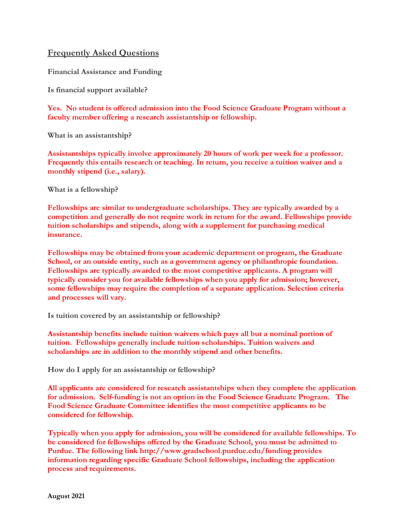## **Frequently Asked Questions**

**Financial Assistance and Funding**

**Is financial support available?**

**Yes. No student is offered admission into the Food Science Graduate Program without a faculty member offering a research assistantship or fellowship.** 

**What is an assistantship?**

**Assistantships typically involve approximately 20 hours of work per week for a professor. Frequently this entails research or teaching. In return, you receive a tuition waiver and a monthly stipend (i.e., salary).** 

**What is a fellowship?**

**Fellowships are similar to undergraduate scholarships. They are typically awarded by a competition and generally do not require work in return for the award. Fellowships provide tuition scholarships and stipends, along with a supplement for purchasing medical insurance.**

**Fellowships may be obtained from your academic department or program, the Graduate School, or an outside entity, such as a government agency or philanthropic foundation. Fellowships are typically awarded to the most competitive applicants. A program will typically consider you for available fellowships when you apply for admission; however, some fellowships may require the completion of a separate application. Selection criteria and processes will vary.** 

**Is tuition covered by an assistantship or fellowship?**

**Assistantship benefits include tuition waivers which pays all but a nominal portion of tuition. Fellowships generally include tuition scholarships. Tuition waivers and scholarships are in addition to the monthly stipend and other benefits.**

**How do I apply for an assistantship or fellowship?**

**All applicants are considered for research assistantships when they complete the application for admission. Self-funding is not an option in the Food Science Graduate Program. The Food Science Graduate Committee identifies the most competitive applicants to be considered for fellowship.**

**Typically when you apply for admission, you will be considered for available fellowships. To be considered for fellowships offered by the Graduate School, you must be admitted to Purdue. [The following link](http://www.gradschool.purdue.edu/funding/) <http://www.gradschool.purdue.edu/funding> provides information regarding specific Graduate School fellowships, including the application process and requirements.**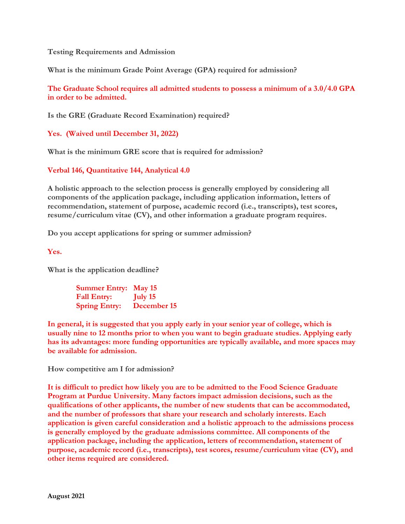**Testing Requirements and Admission** 

**What is the minimum Grade Point Average (GPA) required for admission?**

**The Graduate School requires all admitted students to possess a minimum of a 3.0/4.0 GPA in order to be admitted.** 

**Is the GRE (Graduate Record Examination) required?**

**Yes. (Waived until December 31, 2022)**

**What is the minimum GRE score that is required for admission?**

**Verbal 146, Quantitative 144, Analytical 4.0**

**A holistic approach to the selection process is generally employed by considering all components of the application package, including application information, letters of recommendation, statement of purpose, academic record (i.e., transcripts), test scores, resume/curriculum vitae (CV), and other information a graduate program requires.**

**Do you accept applications for spring or summer admission?**

**Yes.**

**What is the application deadline?**

**Summer Entry: May 15 Fall Entry: July 15 Spring Entry: December 15**

**In general, it is suggested that you apply early in your senior year of college, which is usually nine to 12 months prior to when you want to begin graduate studies. Applying early has its advantages: more funding opportunities are typically available, and more spaces may be available for admission.**

**How competitive am I for admission?**

**It is difficult to predict how likely you are to be admitted to the Food Science Graduate Program at Purdue University. Many factors impact admission decisions, such as the qualifications of other applicants, the number of new students that can be accommodated, and the number of professors that share your research and scholarly interests. Each application is given careful consideration and a holistic approach to the admissions process is generally employed by the graduate admissions committee. All components of the application package, including the application, letters of recommendation, statement of purpose, academic record (i.e., transcripts), test scores, resume/curriculum vitae (CV), and other items required are considered.**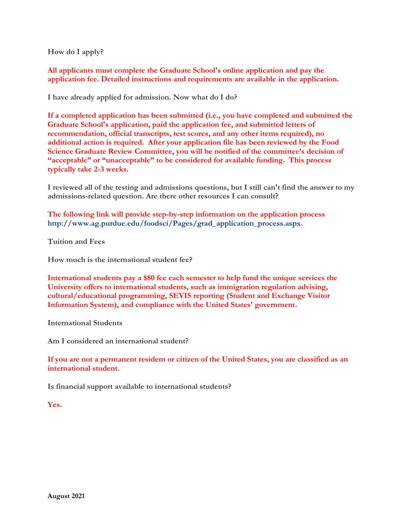**How do I apply?**

**All applicants must complete the [Graduate School's online application](https://app.applyyourself.com/?id=purduegrad) and pay the application fee. Detailed instructions and requirements are available in the application.**

**I have already applied for admission. Now what do I do?**

**If a completed application has been submitted (i.e., you have completed and submitted the Graduate School's application, paid the application fee, and submitted letters of recommendation, official transcripts, test scores, and any other items required), no additional action is required. After your application file has been reviewed by the Food Science Graduate Review Committee, you will be notified of the committee's decision of "acceptable" or "unacceptable" to be considered for available funding. This process typically take 2-3 weeks.**

**I reviewed all of the testing and admissions questions, but I still can't find the answer to my admissions-related question. Are there other resources I can consult?**

**The following link will provide step-by-step information on the application process [http://www.ag.purdue.edu/foodsci/Pages/grad\\_application\\_process.aspx.](http://www.ag.purdue.edu/foodsci/Pages/grad_application_process.aspx)** 

**Tuition and Fees**

**How much is the international student fee?**

**International students pay a \$80 fee each semester to help fund the unique services the University offers to international students, such as immigration regulation advising, cultural/educational programming, SEVIS reporting (Student and Exchange Visitor Information System), and compliance with the United States' government.**

**International Students**

**Am I considered an international student?**

**If you are not a permanent resident or citizen of the United States, you are classified as an international student.**

**Is financial support available to international students?**

**Yes.**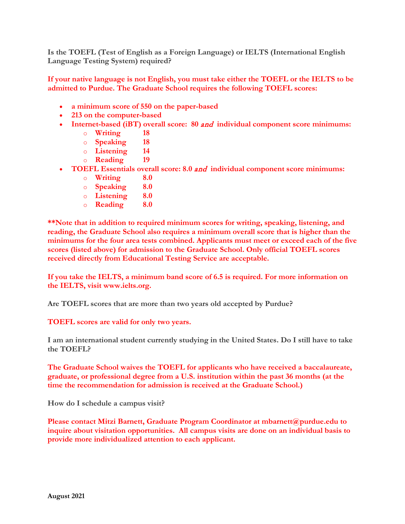**Is the TOEFL (Test of English as a Foreign Language) or IELTS (International English Language Testing System) required?**

**If your native language is not English, you must take either the TOEFL or the IELTS to be admitted to Purdue. The Graduate School requires the following TOEFL scores:**

- **a minimum score of 550 on the paper-based**
- **213 on the computer-based**
- **Internet-based (iBT) overall score: 80** and **individual component score minimums:**
	- o **Writing 18**
	- o **Speaking 18**
	- o **Listening 14**
	- o **Reading 19**
- **TOEFL Essentials overall score: 8.0** and **individual component score minimums:**
	- o **Writing 8.0**
	- o **Speaking 8.0**
	- o **Listening 8.0**
	- o **Reading 8.0**

**\*\*Note that in addition to required minimum scores for writing, speaking, listening, and reading, the Graduate School also requires a minimum overall score that is higher than the minimums for the four area tests combined. Applicants must meet or exceed each of the five scores (listed above) for admission to the Graduate School. Only official TOEFL scores received directly from Educational Testing Service are acceptable.** 

**If you take the IELTS, a minimum band score of 6.5 is required. For more information on the IELTS, visit [www.ielts.org.](http://www.ielts.org/)**

**Are TOEFL scores that are more than two years old accepted by Purdue?**

**TOEFL scores are valid for only two years.**

**I am an international student currently studying in the United States. Do I still have to take the TOEFL?**

**The Graduate School waives the TOEFL for applicants who have received a baccalaureate, graduate, or professional degree from a U.S. institution within the past 36 months (at the time the recommendation for admission is received at the Graduate School.)**

**How do I schedule a campus visit?**

**Please contact Mitzi Barnett, Graduate Program Coordinator at [mbarnett@purdue.edu](mailto:mbarnett@purdue.edu) to inquire about visitation opportunities. All campus visits are done on an individual basis to provide more individualized attention to each applicant.**